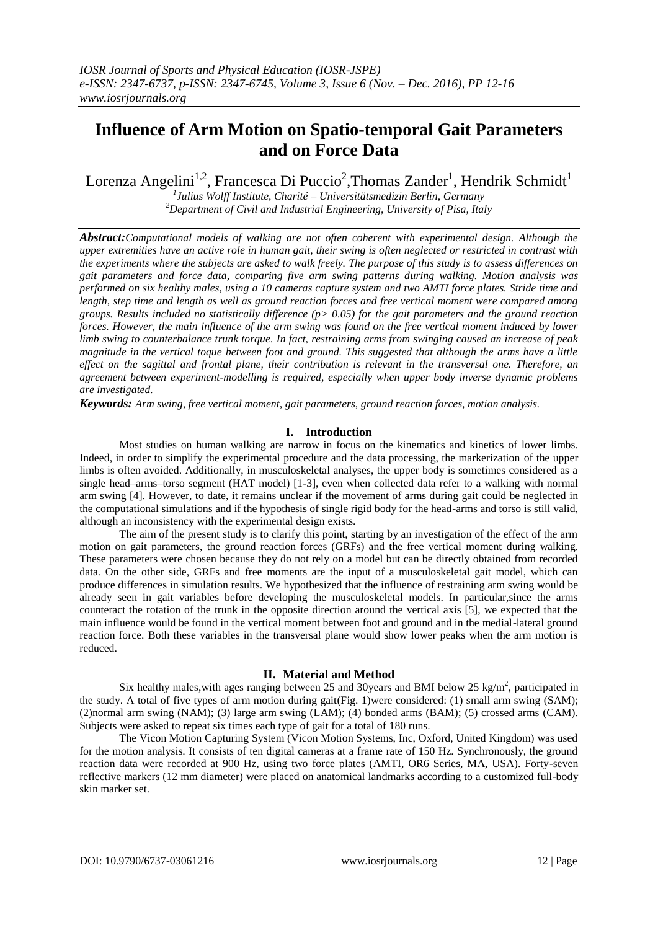# **Influence of Arm Motion on Spatio-temporal Gait Parameters and on Force Data**

Lorenza Angelini<sup>1,2</sup>, Francesca Di Puccio<sup>2</sup>, Thomas Zander<sup>1</sup>, Hendrik Schmidt<sup>1</sup>

*1 Julius Wolff Institute, Charité – Universitätsmedizin Berlin, Germany <sup>2</sup>Department of Civil and Industrial Engineering, University of Pisa, Italy*

*Abstract:Computational models of walking are not often coherent with experimental design. Although the upper extremities have an active role in human gait, their swing is often neglected or restricted in contrast with the experiments where the subjects are asked to walk freely. The purpose of this study is to assess differences on gait parameters and force data, comparing five arm swing patterns during walking. Motion analysis was performed on six healthy males, using a 10 cameras capture system and two AMTI force plates. Stride time and length, step time and length as well as ground reaction forces and free vertical moment were compared among groups. Results included no statistically difference (p> 0.05) for the gait parameters and the ground reaction forces. However, the main influence of the arm swing was found on the free vertical moment induced by lower limb swing to counterbalance trunk torque. In fact, restraining arms from swinging caused an increase of peak magnitude in the vertical toque between foot and ground. This suggested that although the arms have a little effect on the sagittal and frontal plane, their contribution is relevant in the transversal one. Therefore, an agreement between experiment-modelling is required, especially when upper body inverse dynamic problems are investigated.* 

*Keywords: Arm swing, free vertical moment, gait parameters, ground reaction forces, motion analysis.*

# **I. Introduction**

Most studies on human walking are narrow in focus on the kinematics and kinetics of lower limbs. Indeed, in order to simplify the experimental procedure and the data processing, the markerization of the upper limbs is often avoided. Additionally, in musculoskeletal analyses, the upper body is sometimes considered as a single head–arms–torso segment (HAT model) [1-3], even when collected data refer to a walking with normal arm swing [4]. However, to date, it remains unclear if the movement of arms during gait could be neglected in the computational simulations and if the hypothesis of single rigid body for the head-arms and torso is still valid, although an inconsistency with the experimental design exists.

The aim of the present study is to clarify this point, starting by an investigation of the effect of the arm motion on gait parameters, the ground reaction forces (GRFs) and the free vertical moment during walking. These parameters were chosen because they do not rely on a model but can be directly obtained from recorded data. On the other side, GRFs and free moments are the input of a musculoskeletal gait model, which can produce differences in simulation results. We hypothesized that the influence of restraining arm swing would be already seen in gait variables before developing the musculoskeletal models. In particular,since the arms counteract the rotation of the trunk in the opposite direction around the vertical axis [5], we expected that the main influence would be found in the vertical moment between foot and ground and in the medial-lateral ground reaction force. Both these variables in the transversal plane would show lower peaks when the arm motion is reduced.

# **II. Material and Method**

Six healthy males, with ages ranging between 25 and 30 years and BMI below 25 kg/m<sup>2</sup>, participated in the study. A total of five types of arm motion during gait(Fig. 1)were considered: (1) small arm swing (SAM); (2)normal arm swing (NAM); (3) large arm swing (LAM); (4) bonded arms (BAM); (5) crossed arms (CAM). Subjects were asked to repeat six times each type of gait for a total of 180 runs.

The Vicon Motion Capturing System (Vicon Motion Systems, Inc, Oxford, United Kingdom) was used for the motion analysis. It consists of ten digital cameras at a frame rate of 150 Hz. Synchronously, the ground reaction data were recorded at 900 Hz, using two force plates (AMTI, OR6 Series, MA, USA). Forty-seven reflective markers (12 mm diameter) were placed on anatomical landmarks according to a customized full-body skin marker set.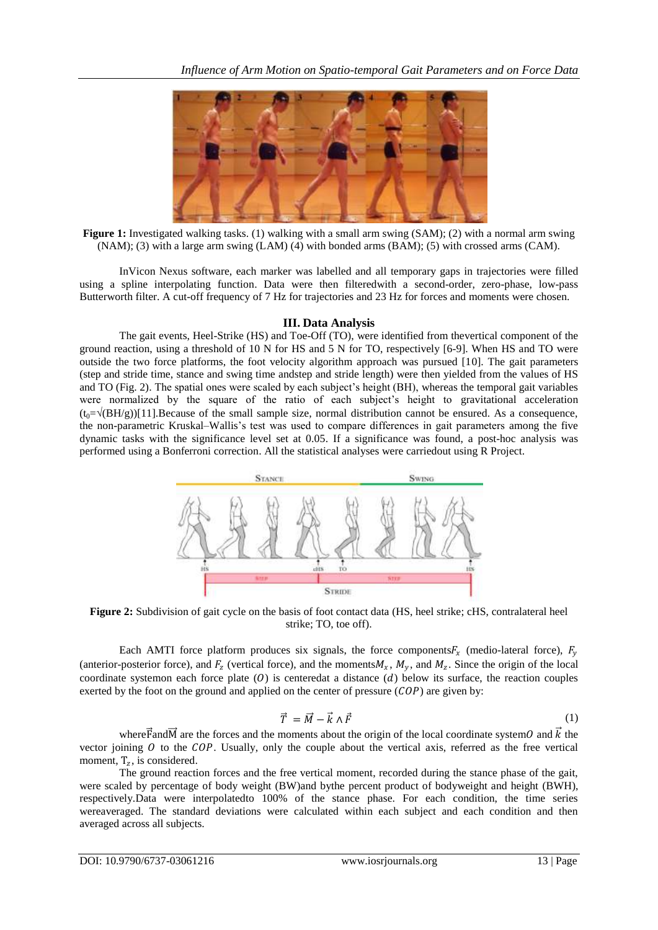

**Figure 1:** Investigated walking tasks. (1) walking with a small arm swing (SAM); (2) with a normal arm swing (NAM); (3) with a large arm swing (LAM) (4) with bonded arms (BAM); (5) with crossed arms (CAM).

InVicon Nexus software, each marker was labelled and all temporary gaps in trajectories were filled using a spline interpolating function. Data were then filteredwith a second-order, zero-phase, low-pass Butterworth filter. A cut-off frequency of 7 Hz for trajectories and 23 Hz for forces and moments were chosen.

### **III. Data Analysis**

The gait events, Heel-Strike (HS) and Toe-Off (TO), were identified from thevertical component of the ground reaction, using a threshold of 10 N for HS and 5 N for TO, respectively [6-9]. When HS and TO were outside the two force platforms, the foot velocity algorithm approach was pursued [10]. The gait parameters (step and stride time, stance and swing time andstep and stride length) were then yielded from the values of HS and TO (Fig. 2). The spatial ones were scaled by each subject's height (BH), whereas the temporal gait variables were normalized by the square of the ratio of each subject's height to gravitational acceleration  $(t_0=\sqrt{BH/g})[11].$  Because of the small sample size, normal distribution cannot be ensured. As a consequence, the non-parametric Kruskal–Wallis's test was used to compare differences in gait parameters among the five dynamic tasks with the significance level set at 0.05. If a significance was found, a post-hoc analysis was performed using a Bonferroni correction. All the statistical analyses were carriedout using R Project.



**Figure 2:** Subdivision of gait cycle on the basis of foot contact data (HS, heel strike; cHS, contralateral heel strike; TO, toe off).

Each AMTI force platform produces six signals, the force components  $F_x$  (medio-lateral force),  $F_y$ (anterior-posterior force), and  $F_z$  (vertical force), and the moments  $M_x$ ,  $M_y$ , and  $M_z$ . Since the origin of the local coordinate systemon each force plate  $(0)$  is centeredat a distance  $(d)$  below its surface, the reaction couples exerted by the foot on the ground and applied on the center of pressure  $(COP)$  are given by:

$$
\vec{T} = \vec{M} - \vec{k} \wedge \vec{F} \tag{1}
$$

where F and M are the forces and the moments about the origin of the local coordinate system O and  $\vec{k}$  the vector joining  $\theta$  to the COP. Usually, only the couple about the vertical axis, referred as the free vertical moment,  $T_z$ , is considered.

The ground reaction forces and the free vertical moment, recorded during the stance phase of the gait, were scaled by percentage of body weight (BW)and bythe percent product of bodyweight and height (BWH), respectively.Data were interpolatedto 100% of the stance phase. For each condition, the time series wereaveraged. The standard deviations were calculated within each subject and each condition and then averaged across all subjects.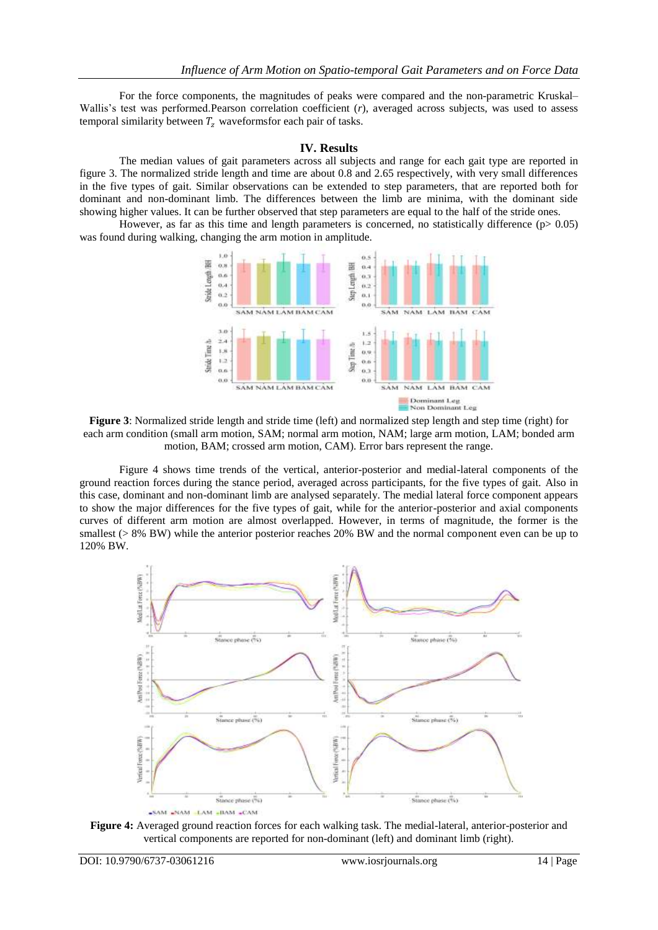For the force components, the magnitudes of peaks were compared and the non-parametric Kruskal– Wallis's test was performed.Pearson correlation coefficient (*r*), averaged across subjects, was used to assess temporal similarity between  $T_z$  waveforms for each pair of tasks.

#### **IV. Results**

The median values of gait parameters across all subjects and range for each gait type are reported in figure 3. The normalized stride length and time are about 0.8 and 2.65 respectively, with very small differences in the five types of gait. Similar observations can be extended to step parameters, that are reported both for dominant and non-dominant limb. The differences between the limb are minima, with the dominant side showing higher values. It can be further observed that step parameters are equal to the half of the stride ones.

However, as far as this time and length parameters is concerned, no statistically difference ( $p$  > 0.05) was found during walking, changing the arm motion in amplitude.



**Figure 3**: Normalized stride length and stride time (left) and normalized step length and step time (right) for each arm condition (small arm motion, SAM; normal arm motion, NAM; large arm motion, LAM; bonded arm motion, BAM; crossed arm motion, CAM). Error bars represent the range.

Figure 4 shows time trends of the vertical, anterior-posterior and medial-lateral components of the ground reaction forces during the stance period, averaged across participants, for the five types of gait. Also in this case, dominant and non-dominant limb are analysed separately. The medial lateral force component appears to show the major differences for the five types of gait, while for the anterior-posterior and axial components curves of different arm motion are almost overlapped. However, in terms of magnitude, the former is the smallest ( $> 8\%$  BW) while the anterior posterior reaches 20% BW and the normal component even can be up to 120% BW.



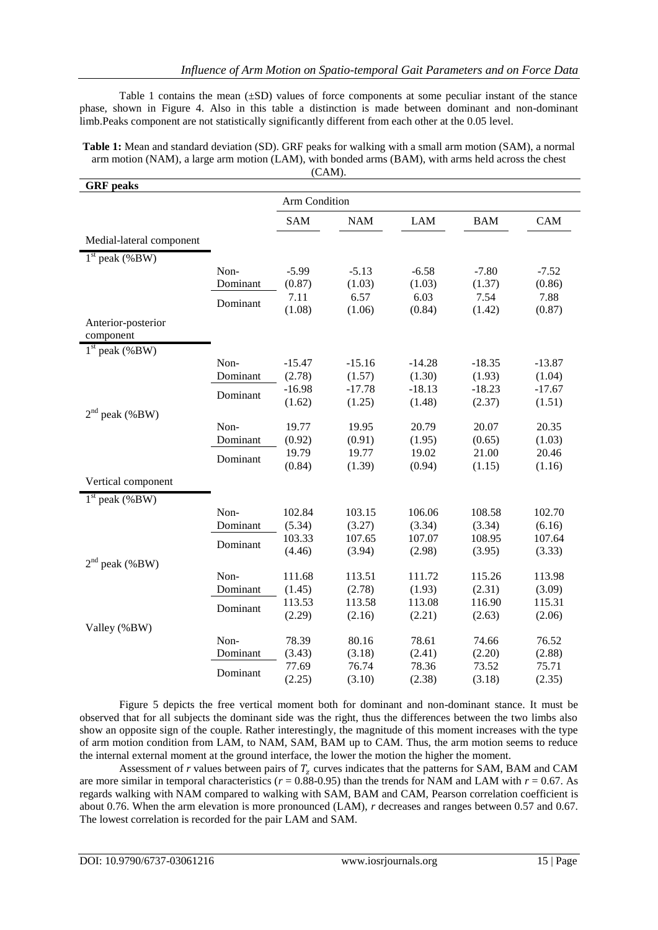Table 1 contains the mean (±SD) values of force components at some peculiar instant of the stance phase, shown in Figure 4. Also in this table a distinction is made between dominant and non-dominant limb.Peaks component are not statistically significantly different from each other at the 0.05 level.

**Table 1:** Mean and standard deviation (SD). GRF peaks for walking with a small arm motion (SAM), a normal arm motion (NAM), a large arm motion (LAM), with bonded arms (BAM), with arms held across the chest (CAM).

| <b>GRF</b> peaks         |                  |                   |                   |                   |                   |                   |
|--------------------------|------------------|-------------------|-------------------|-------------------|-------------------|-------------------|
|                          |                  | Arm Condition     |                   |                   |                   |                   |
|                          |                  | <b>SAM</b>        | <b>NAM</b>        | <b>LAM</b>        | <b>BAM</b>        | CAM               |
| Medial-lateral component |                  |                   |                   |                   |                   |                   |
| $1st$ peak (%BW)         |                  |                   |                   |                   |                   |                   |
|                          | Non-<br>Dominant | $-5.99$<br>(0.87) | $-5.13$<br>(1.03) | $-6.58$<br>(1.03) | $-7.80$<br>(1.37) | $-7.52$<br>(0.86) |
|                          | Dominant         | 7.11<br>(1.08)    | 6.57<br>(1.06)    | 6.03<br>(0.84)    | 7.54<br>(1.42)    | 7.88<br>(0.87)    |
| Anterior-posterior       |                  |                   |                   |                   |                   |                   |
| component                |                  |                   |                   |                   |                   |                   |
| $1st$ peak (%BW)         | Non-             | $-15.47$          | $-15.16$          | $-14.28$          | $-18.35$          | $-13.87$          |
|                          | Dominant         | (2.78)            | (1.57)            | (1.30)            | (1.93)            | (1.04)            |
|                          |                  | $-16.98$          | $-17.78$          | $-18.13$          | $-18.23$          | $-17.67$          |
|                          | Dominant         | (1.62)            | (1.25)            | (1.48)            | (2.37)            | (1.51)            |
| $2nd$ peak (%BW)         |                  |                   |                   |                   |                   |                   |
|                          | Non-             | 19.77             | 19.95             | 20.79             | 20.07             | 20.35             |
|                          | Dominant         | (0.92)            | (0.91)            | (1.95)            | (0.65)            | (1.03)            |
|                          | Dominant         | 19.79             | 19.77             | 19.02             | 21.00             | 20.46             |
|                          |                  | (0.84)            | (1.39)            | (0.94)            | (1.15)            | (1.16)            |
| Vertical component       |                  |                   |                   |                   |                   |                   |
| $1st$ peak (%BW)         |                  |                   |                   |                   |                   |                   |
|                          | Non-             | 102.84            | 103.15            | 106.06            | 108.58            | 102.70            |
|                          | Dominant         | (5.34)            | (3.27)            | (3.34)            | (3.34)            | (6.16)            |
|                          | Dominant         | 103.33            | 107.65            | 107.07            | 108.95            | 107.64            |
| $2nd$ peak (%BW)         |                  | (4.46)            | (3.94)            | (2.98)            | (3.95)            | (3.33)            |
|                          | Non-             | 111.68            | 113.51            | 111.72            | 115.26            | 113.98            |
|                          | Dominant         | (1.45)            | (2.78)            | (1.93)            | (2.31)            | (3.09)            |
|                          |                  | 113.53            | 113.58            | 113.08            | 116.90            | 115.31            |
|                          | Dominant         | (2.29)            | (2.16)            | (2.21)            | (2.63)            | (2.06)            |
| Valley (%BW)             |                  |                   |                   |                   |                   |                   |
|                          | Non-             | 78.39             | 80.16             | 78.61             | 74.66             | 76.52             |
|                          | Dominant         | (3.43)            | (3.18)            | (2.41)            | (2.20)            | (2.88)            |
|                          | Dominant         | 77.69             | 76.74             | 78.36             | 73.52             | 75.71             |
|                          |                  | (2.25)            | (3.10)            | (2.38)            | (3.18)            | (2.35)            |

Figure 5 depicts the free vertical moment both for dominant and non-dominant stance. It must be observed that for all subjects the dominant side was the right, thus the differences between the two limbs also show an opposite sign of the couple. Rather interestingly, the magnitude of this moment increases with the type of arm motion condition from LAM, to NAM, SAM, BAM up to CAM. Thus, the arm motion seems to reduce the internal external moment at the ground interface, the lower the motion the higher the moment.

Assessment of *r* values between pairs of  $T<sub>z</sub>$  curves indicates that the patterns for SAM, BAM and CAM are more similar in temporal characteristics ( $r = 0.88 - 0.95$ ) than the trends for NAM and LAM with  $r = 0.67$ . As regards walking with NAM compared to walking with SAM, BAM and CAM, Pearson correlation coefficient is about 0.76. When the arm elevation is more pronounced (LAM), *r* decreases and ranges between 0.57 and 0.67. The lowest correlation is recorded for the pair LAM and SAM.